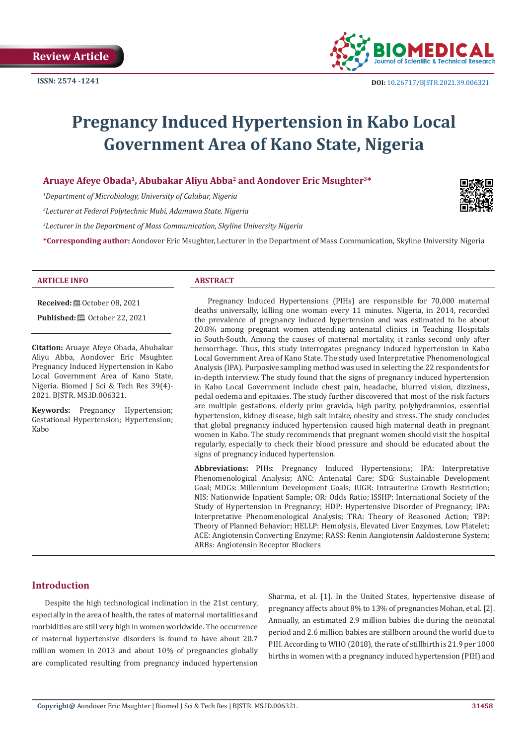

# **Pregnancy Induced Hypertension in Kabo Local Government Area of Kano State, Nigeria**

# **Aruaye Afeye Obada1, Abubakar Aliyu Abba2 and Aondover Eric Msughter3\***

*1 Department of Microbiology, University of Calabar, Nigeria*

*2 Lecturer at Federal Polytechnic Mubi, Adamawa State, Nigeria*

*3 Lecturer in the Department of Mass Communication, Skyline University Nigeria*

**\*Corresponding author:** Aondover Eric Msughter, Lecturer in the Department of Mass Communication, Skyline University Nigeria



**Received:** ■ October 08, 2021

**Published: @** October 22, 2021

**Citation:** Aruaye Afeye Obada, Abubakar Aliyu Abba, Aondover Eric Msughter. Pregnancy Induced Hypertension in Kabo Local Government Area of Kano State, Nigeria. Biomed J Sci & Tech Res 39(4)- 2021. BJSTR. MS.ID.006321.

**Keywords:** Pregnancy Hypertension; Gestational Hypertension; Hypertension; Kabo

Pregnancy Induced Hypertensions (PIHs) are responsible for 70,000 maternal deaths universally, killing one woman every 11 minutes. Nigeria, in 2014, recorded the prevalence of pregnancy induced hypertension and was estimated to be about 20.8% among pregnant women attending antenatal clinics in Teaching Hospitals in South-South. Among the causes of maternal mortality, it ranks second only after hemorrhage. Thus, this study interrogates pregnancy induced hypertension in Kabo Local Government Area of Kano State. The study used Interpretative Phenomenological Analysis (IPA). Purposive sampling method was used in selecting the 22 respondents for in-depth interview. The study found that the signs of pregnancy induced hypertension in Kabo Local Government include chest pain, headache, blurred vision, dizziness, pedal oedema and epitaxies. The study further discovered that most of the risk factors are multiple gestations, elderly prim gravida, high parity, polyhydramnios, essential hypertension, kidney disease, high salt intake, obesity and stress. The study concludes that global pregnancy induced hypertension caused high maternal death in pregnant women in Kabo. The study recommends that pregnant women should visit the hospital regularly, especially to check their blood pressure and should be educated about the signs of pregnancy induced hypertension.

**Abbreviations:** PIHs: Pregnancy Induced Hypertensions; IPA: Interpretative Phenomenological Analysis; ANC: Antenatal Care; SDG: Sustainable Development Goal; MDGs: Millennium Development Goals; IUGR: Intrauterine Growth Restriction; NIS: Nationwide Inpatient Sample; OR: Odds Ratio; ISSHP: International Society of the Study of Hypertension in Pregnancy; HDP: Hypertensive Disorder of Pregnancy; IPA: Interpretative Phenomenological Analysis; TRA: Theory of Reasoned Action; TBP: Theory of Planned Behavior; HELLP: Hemolysis, Elevated Liver Enzymes, Low Platelet; ACE: Angiotensin Converting Enzyme; RASS: Renin Aangiotensin Aaldosterone System; ARBs: Angiotensin Receptor Blockers

## **Introduction**

Despite the high technological inclination in the 21st century, especially in the area of health, the rates of maternal mortalities and morbidities are still very high in women worldwide. The occurrence of maternal hypertensive disorders is found to have about 20.7 million women in 2013 and about 10% of pregnancies globally are complicated resulting from pregnancy induced hypertension

Sharma, et al. [1]. In the United States, hypertensive disease of pregnancy affects about 8% to 13% of pregnancies Mohan, et al. [2]. Annually, an estimated 2.9 million babies die during the neonatal period and 2.6 million babies are stillborn around the world due to PIH. According to WHO (2018), the rate of stillbirth is 21.9 per 1000 births in women with a pregnancy induced hypertension (PIH) and

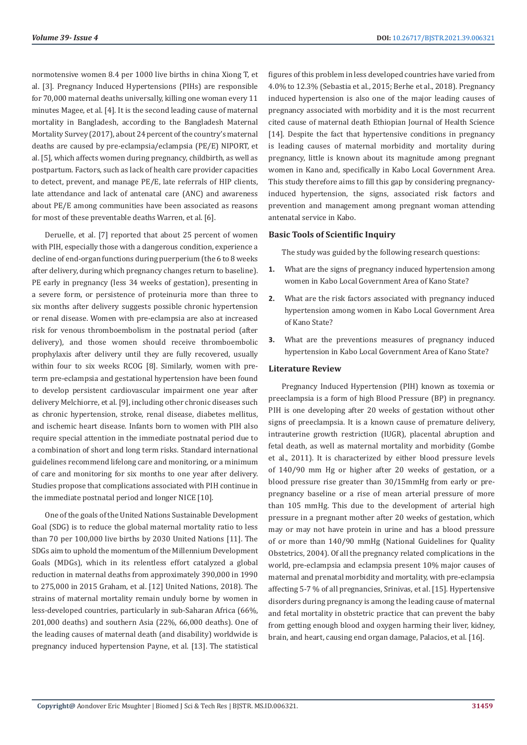normotensive women 8.4 per 1000 live births in china Xiong T, et al. [3]. Pregnancy Induced Hypertensions (PIHs) are responsible for 70,000 maternal deaths universally, killing one woman every 11 minutes Magee, et al. [4]. It is the second leading cause of maternal mortality in Bangladesh, according to the Bangladesh Maternal Mortality Survey (2017), about 24 percent of the country's maternal deaths are caused by pre-eclampsia/eclampsia (PE/E) NIPORT, et al. [5], which affects women during pregnancy, childbirth, as well as postpartum. Factors, such as lack of health care provider capacities to detect, prevent, and manage PE/E, late referrals of HIP clients, late attendance and lack of antenatal care (ANC) and awareness about PE/E among communities have been associated as reasons for most of these preventable deaths Warren, et al. [6].

Deruelle, et al. [7] reported that about 25 percent of women with PIH, especially those with a dangerous condition, experience a decline of end-organ functions during puerperium (the 6 to 8 weeks after delivery, during which pregnancy changes return to baseline). PE early in pregnancy (less 34 weeks of gestation), presenting in a severe form, or persistence of proteinuria more than three to six months after delivery suggests possible chronic hypertension or renal disease. Women with pre-eclampsia are also at increased risk for venous thromboembolism in the postnatal period (after delivery), and those women should receive thromboembolic prophylaxis after delivery until they are fully recovered, usually within four to six weeks RCOG [8]. Similarly, women with preterm pre-eclampsia and gestational hypertension have been found to develop persistent cardiovascular impairment one year after delivery Melchiorre, et al. [9], including other chronic diseases such as chronic hypertension, stroke, renal disease, diabetes mellitus, and ischemic heart disease. Infants born to women with PIH also require special attention in the immediate postnatal period due to a combination of short and long term risks. Standard international guidelines recommend lifelong care and monitoring, or a minimum of care and monitoring for six months to one year after delivery. Studies propose that complications associated with PIH continue in the immediate postnatal period and longer NICE [10].

One of the goals of the United Nations Sustainable Development Goal (SDG) is to reduce the global maternal mortality ratio to less than 70 per 100,000 live births by 2030 United Nations [11]. The SDGs aim to uphold the momentum of the Millennium Development Goals (MDGs), which in its relentless effort catalyzed a global reduction in maternal deaths from approximately 390,000 in 1990 to 275,000 in 2015 Graham, et al. [12] United Nations, 2018). The strains of maternal mortality remain unduly borne by women in less-developed countries, particularly in sub-Saharan Africa (66%, 201,000 deaths) and southern Asia (22%, 66,000 deaths). One of the leading causes of maternal death (and disability) worldwide is pregnancy induced hypertension Payne, et al. [13]. The statistical

figures of this problem in less developed countries have varied from 4.0% to 12.3% (Sebastia et al., 2015; Berhe et al., 2018). Pregnancy induced hypertension is also one of the major leading causes of pregnancy associated with morbidity and it is the most recurrent cited cause of maternal death Ethiopian Journal of Health Science [14]. Despite the fact that hypertensive conditions in pregnancy is leading causes of maternal morbidity and mortality during pregnancy, little is known about its magnitude among pregnant women in Kano and, specifically in Kabo Local Government Area. This study therefore aims to fill this gap by considering pregnancyinduced hypertension, the signs, associated risk factors and prevention and management among pregnant woman attending antenatal service in Kabo.

#### **Basic Tools of Scientific Inquiry**

The study was guided by the following research questions:

- **1.** What are the signs of pregnancy induced hypertension among women in Kabo Local Government Area of Kano State?
- **2.** What are the risk factors associated with pregnancy induced hypertension among women in Kabo Local Government Area of Kano State?
- **3.** What are the preventions measures of pregnancy induced hypertension in Kabo Local Government Area of Kano State?

#### **Literature Review**

Pregnancy Induced Hypertension (PIH) known as toxemia or preeclampsia is a form of high Blood Pressure (BP) in pregnancy. PIH is one developing after 20 weeks of gestation without other signs of preeclampsia. It is a known cause of premature delivery, intrauterine growth restriction (IUGR), placental abruption and fetal death, as well as maternal mortality and morbidity (Gombe et al., 2011). It is characterized by either blood pressure levels of 140/90 mm Hg or higher after 20 weeks of gestation, or a blood pressure rise greater than 30/15mmHg from early or prepregnancy baseline or a rise of mean arterial pressure of more than 105 mmHg. This due to the development of arterial high pressure in a pregnant mother after 20 weeks of gestation, which may or may not have protein in urine and has a blood pressure of or more than 140/90 mmHg (National Guidelines for Quality Obstetrics, 2004). Of all the pregnancy related complications in the world, pre-eclampsia and eclampsia present 10% major causes of maternal and prenatal morbidity and mortality, with pre-eclampsia affecting 5-7 % of all pregnancies, Srinivas, et al. [15]. Hypertensive disorders during pregnancy is among the leading cause of maternal and fetal mortality in obstetric practice that can prevent the baby from getting enough blood and oxygen harming their liver, kidney, brain, and heart, causing end organ damage, Palacios, et al. [16].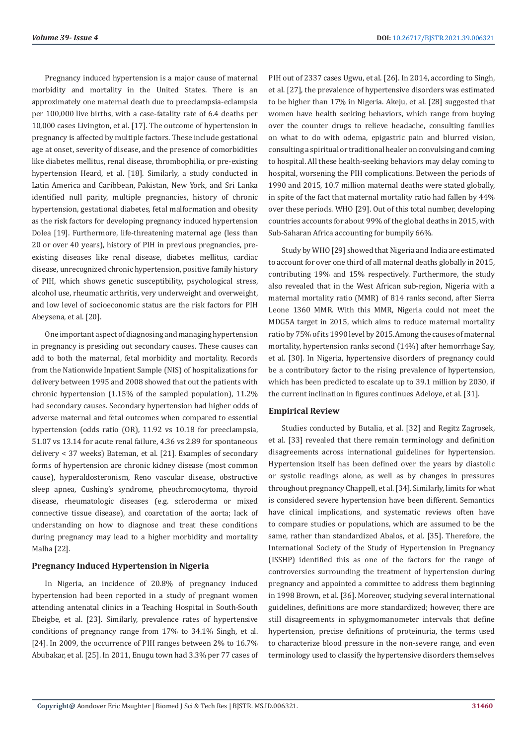Pregnancy induced hypertension is a major cause of maternal morbidity and mortality in the United States. There is an approximately one maternal death due to preeclampsia-eclampsia per 100,000 live births, with a case-fatality rate of 6.4 deaths per 10,000 cases Livington, et al. [17]. The outcome of hypertension in pregnancy is affected by multiple factors. These include gestational age at onset, severity of disease, and the presence of comorbidities like diabetes mellitus, renal disease, thrombophilia, or pre-existing hypertension Heard, et al. [18]. Similarly, a study conducted in Latin America and Caribbean, Pakistan, New York, and Sri Lanka identified null parity, multiple pregnancies, history of chronic hypertension, gestational diabetes, fetal malformation and obesity as the risk factors for developing pregnancy induced hypertension Dolea [19]. Furthermore, life-threatening maternal age (less than 20 or over 40 years), history of PIH in previous pregnancies, preexisting diseases like renal disease, diabetes mellitus, cardiac disease, unrecognized chronic hypertension, positive family history of PIH, which shows genetic susceptibility, psychological stress, alcohol use, rheumatic arthritis, very underweight and overweight, and low level of socioeconomic status are the risk factors for PIH Abeysena, et al. [20].

One important aspect of diagnosing and managing hypertension in pregnancy is presiding out secondary causes. These causes can add to both the maternal, fetal morbidity and mortality. Records from the Nationwide Inpatient Sample (NIS) of hospitalizations for delivery between 1995 and 2008 showed that out the patients with chronic hypertension (1.15% of the sampled population), 11.2% had secondary causes. Secondary hypertension had higher odds of adverse maternal and fetal outcomes when compared to essential hypertension (odds ratio (OR), 11.92 vs 10.18 for preeclampsia, 51.07 vs 13.14 for acute renal failure, 4.36 vs 2.89 for spontaneous delivery < 37 weeks) Bateman, et al. [21]. Examples of secondary forms of hypertension are chronic kidney disease (most common cause), hyperaldosteronism, Reno vascular disease, obstructive sleep apnea, Cushing's syndrome, pheochromocytoma, thyroid disease, rheumatologic diseases (e.g. scleroderma or mixed connective tissue disease), and coarctation of the aorta; lack of understanding on how to diagnose and treat these conditions during pregnancy may lead to a higher morbidity and mortality Malha [22].

## **Pregnancy Induced Hypertension in Nigeria**

In Nigeria, an incidence of 20.8% of pregnancy induced hypertension had been reported in a study of pregnant women attending antenatal clinics in a Teaching Hospital in South-South Ebeigbe, et al. [23]. Similarly, prevalence rates of hypertensive conditions of pregnancy range from 17% to 34.1% Singh, et al. [24]. In 2009, the occurrence of PIH ranges between 2% to 16.7% Abubakar, et al. [25]. In 2011, Enugu town had 3.3% per 77 cases of PIH out of 2337 cases Ugwu, et al. [26]. In 2014, according to Singh, et al. [27], the prevalence of hypertensive disorders was estimated to be higher than 17% in Nigeria. Akeju, et al. [28] suggested that women have health seeking behaviors, which range from buying over the counter drugs to relieve headache, consulting families on what to do with odema, epigastric pain and blurred vision, consulting a spiritual or traditional healer on convulsing and coming to hospital. All these health-seeking behaviors may delay coming to hospital, worsening the PIH complications. Between the periods of 1990 and 2015, 10.7 million maternal deaths were stated globally, in spite of the fact that maternal mortality ratio had fallen by 44% over these periods. WHO [29]. Out of this total number, developing countries accounts for about 99% of the global deaths in 2015, with Sub-Saharan Africa accounting for bumpily 66%.

Study by WHO [29] showed that Nigeria and India are estimated to account for over one third of all maternal deaths globally in 2015, contributing 19% and 15% respectively. Furthermore, the study also revealed that in the West African sub-region, Nigeria with a maternal mortality ratio (MMR) of 814 ranks second, after Sierra Leone 1360 MMR. With this MMR, Nigeria could not meet the MDG5A target in 2015, which aims to reduce maternal mortality ratio by 75% of its 1990 level by 2015.Among the causes of maternal mortality, hypertension ranks second (14%) after hemorrhage Say, et al. [30]. In Nigeria, hypertensive disorders of pregnancy could be a contributory factor to the rising prevalence of hypertension, which has been predicted to escalate up to 39.1 million by 2030, if the current inclination in figures continues Adeloye, et al. [31].

## **Empirical Review**

Studies conducted by Butalia, et al. [32] and Regitz Zagrosek, et al. [33] revealed that there remain terminology and definition disagreements across international guidelines for hypertension. Hypertension itself has been defined over the years by diastolic or systolic readings alone, as well as by changes in pressures throughout pregnancy Chappell, et al. [34]. Similarly, limits for what is considered severe hypertension have been different. Semantics have clinical implications, and systematic reviews often have to compare studies or populations, which are assumed to be the same, rather than standardized Abalos, et al. [35]. Therefore, the International Society of the Study of Hypertension in Pregnancy (ISSHP) identified this as one of the factors for the range of controversies surrounding the treatment of hypertension during pregnancy and appointed a committee to address them beginning in 1998 Brown, et al. [36]. Moreover, studying several international guidelines, definitions are more standardized; however, there are still disagreements in sphygmomanometer intervals that define hypertension, precise definitions of proteinuria, the terms used to characterize blood pressure in the non-severe range, and even terminology used to classify the hypertensive disorders themselves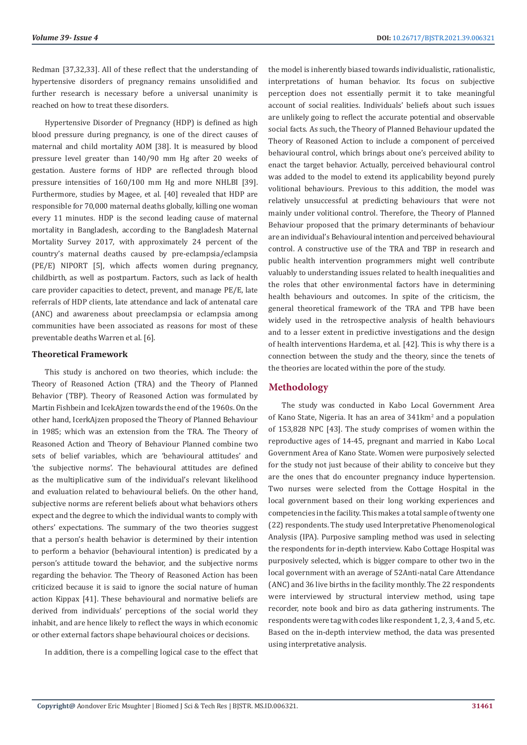Redman [37,32,33]. All of these reflect that the understanding of hypertensive disorders of pregnancy remains unsolidified and further research is necessary before a universal unanimity is reached on how to treat these disorders.

Hypertensive Disorder of Pregnancy (HDP) is defined as high blood pressure during pregnancy, is one of the direct causes of maternal and child mortality AOM [38]. It is measured by blood pressure level greater than 140/90 mm Hg after 20 weeks of gestation. Austere forms of HDP are reflected through blood pressure intensities of 160/100 mm Hg and more NHLBI [39]. Furthermore, studies by Magee, et al. [40] revealed that HDP are responsible for 70,000 maternal deaths globally, killing one woman every 11 minutes. HDP is the second leading cause of maternal mortality in Bangladesh, according to the Bangladesh Maternal Mortality Survey 2017, with approximately 24 percent of the country's maternal deaths caused by pre-eclampsia/eclampsia (PE/E) NIPORT [5], which affects women during pregnancy, childbirth, as well as postpartum. Factors, such as lack of health care provider capacities to detect, prevent, and manage PE/E, late referrals of HDP clients, late attendance and lack of antenatal care (ANC) and awareness about preeclampsia or eclampsia among communities have been associated as reasons for most of these preventable deaths Warren et al. [6].

#### **Theoretical Framework**

This study is anchored on two theories, which include: the Theory of Reasoned Action (TRA) and the Theory of Planned Behavior (TBP). Theory of Reasoned Action was formulated by Martin Fishbein and IcekAjzen towards the end of the 1960s. On the other hand, IcerkAjzen proposed the Theory of Planned Behaviour in 1985; which was an extension from the TRA. The Theory of Reasoned Action and Theory of Behaviour Planned combine two sets of belief variables, which are 'behavioural attitudes' and 'the subjective norms'. The behavioural attitudes are defined as the multiplicative sum of the individual's relevant likelihood and evaluation related to behavioural beliefs. On the other hand, subjective norms are referent beliefs about what behaviors others expect and the degree to which the individual wants to comply with others' expectations. The summary of the two theories suggest that a person's health behavior is determined by their intention to perform a behavior (behavioural intention) is predicated by a person's attitude toward the behavior, and the subjective norms regarding the behavior. The Theory of Reasoned Action has been criticized because it is said to ignore the social nature of human action Kippax [41]. These behavioural and normative beliefs are derived from individuals' perceptions of the social world they inhabit, and are hence likely to reflect the ways in which economic or other external factors shape behavioural choices or decisions.

In addition, there is a compelling logical case to the effect that

the model is inherently biased towards individualistic, rationalistic, interpretations of human behavior. Its focus on subjective perception does not essentially permit it to take meaningful account of social realities. Individuals' beliefs about such issues are unlikely going to reflect the accurate potential and observable social facts. As such, the Theory of Planned Behaviour updated the Theory of Reasoned Action to include a component of perceived behavioural control, which brings about one's perceived ability to enact the target behavior. Actually, perceived behavioural control was added to the model to extend its applicability beyond purely volitional behaviours. Previous to this addition, the model was relatively unsuccessful at predicting behaviours that were not mainly under volitional control. Therefore, the Theory of Planned Behaviour proposed that the primary determinants of behaviour are an individual's Behavioural intention and perceived behavioural control. A constructive use of the TRA and TBP in research and public health intervention programmers might well contribute valuably to understanding issues related to health inequalities and the roles that other environmental factors have in determining health behaviours and outcomes. In spite of the criticism, the general theoretical framework of the TRA and TPB have been widely used in the retrospective analysis of health behaviours and to a lesser extent in predictive investigations and the design of health interventions Hardema, et al. [42]. This is why there is a connection between the study and the theory, since the tenets of the theories are located within the pore of the study.

## **Methodology**

The study was conducted in Kabo Local Government Area of Kano State, Nigeria. It has an area of 341km<sup>2</sup> and a population of 153,828 NPC [43]. The study comprises of women within the reproductive ages of 14-45, pregnant and married in Kabo Local Government Area of Kano State. Women were purposively selected for the study not just because of their ability to conceive but they are the ones that do encounter pregnancy induce hypertension. Two nurses were selected from the Cottage Hospital in the local government based on their long working experiences and competencies in the facility. This makes a total sample of twenty one (22) respondents. The study used Interpretative Phenomenological Analysis (IPA). Purposive sampling method was used in selecting the respondents for in-depth interview. Kabo Cottage Hospital was purposively selected, which is bigger compare to other two in the local government with an average of 52Anti-natal Care Attendance (ANC) and 36 live births in the facility monthly. The 22 respondents were interviewed by structural interview method, using tape recorder, note book and biro as data gathering instruments. The respondents were tag with codes like respondent 1, 2, 3, 4 and 5, etc. Based on the in-depth interview method, the data was presented using interpretative analysis.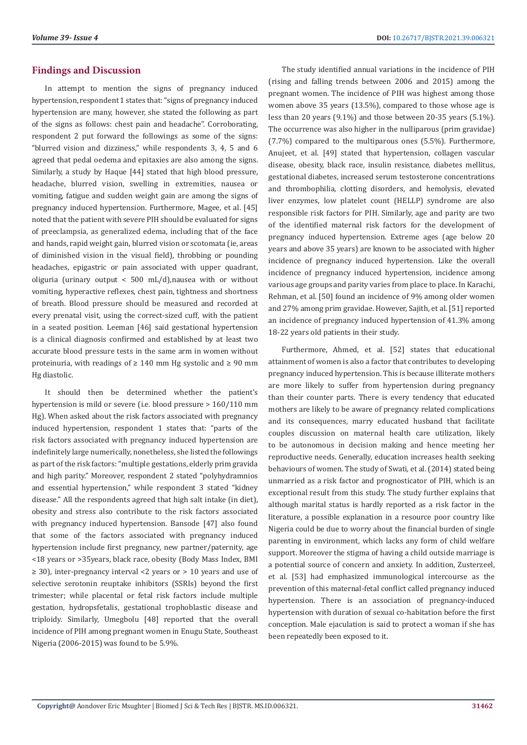## **Findings and Discussion**

In attempt to mention the signs of pregnancy induced hypertension, respondent 1 states that: "signs of pregnancy induced hypertension are many, however, she stated the following as part of the signs as follows: chest pain and headache". Corroborating, respondent 2 put forward the followings as some of the signs: "blurred vision and dizziness," while respondents 3, 4, 5 and 6 agreed that pedal oedema and epitaxies are also among the signs. Similarly, a study by Haque [44] stated that high blood pressure, headache, blurred vision, swelling in extremities, nausea or vomiting, fatigue and sudden weight gain are among the signs of pregnancy induced hypertension. Furthermore, Magee, et al. [45] noted that the patient with severe PIH should be evaluated for signs of preeclampsia, as generalized edema, including that of the face and hands, rapid weight gain, blurred vision or scotomata (ie, areas of diminished vision in the visual field), throbbing or pounding headaches, epigastric or pain associated with upper quadrant, oliguria (urinary output < 500 mL/d),nausea with or without vomiting, hyperactive reflexes, chest pain, tightness and shortness of breath. Blood pressure should be measured and recorded at every prenatal visit, using the correct-sized cuff, with the patient in a seated position. Leeman [46] said gestational hypertension is a clinical diagnosis confirmed and established by at least two accurate blood pressure tests in the same arm in women without proteinuria, with readings of  $\geq 140$  mm Hg systolic and  $\geq 90$  mm Hg diastolic.

It should then be determined whether the patient's hypertension is mild or severe (i.e. blood pressure > 160/110 mm Hg). When asked about the risk factors associated with pregnancy induced hypertension, respondent 1 states that: "parts of the risk factors associated with pregnancy induced hypertension are indefinitely large numerically, nonetheless, she listed the followings as part of the risk factors: "multiple gestations, elderly prim gravida and high parity." Moreover, respondent 2 stated "polyhydramnios and essential hypertension," while respondent 3 stated "kidney disease." All the respondents agreed that high salt intake (in diet), obesity and stress also contribute to the risk factors associated with pregnancy induced hypertension. Bansode [47] also found that some of the factors associated with pregnancy induced hypertension include first pregnancy, new partner/paternity, age <18 years or >35years, black race, obesity (Body Mass Index, BMI ≥ 30), inter-pregnancy interval <2 years or > 10 years and use of selective serotonin reuptake inhibitors (SSRIs) beyond the first trimester; while placental or fetal risk factors include multiple gestation, hydropsfetalis, gestational trophoblastic disease and triploidy. Similarly, Umegbolu [48] reported that the overall incidence of PIH among pregnant women in Enugu State, Southeast Nigeria (2006-2015) was found to be 5.9%.

The study identified annual variations in the incidence of PIH (rising and falling trends between 2006 and 2015) among the pregnant women. The incidence of PIH was highest among those women above 35 years (13.5%), compared to those whose age is less than 20 years (9.1%) and those between 20-35 years (5.1%). The occurrence was also higher in the nulliparous (prim gravidae) (7.7%) compared to the multiparous ones (5.5%). Furthermore, Anujeet, et al. [49] stated that hypertension, collagen vascular disease, obesity, black race, insulin resistance, diabetes mellitus, gestational diabetes, increased serum testosterone concentrations and thrombophilia, clotting disorders, and hemolysis, elevated liver enzymes, low platelet count (HELLP) syndrome are also responsible risk factors for PIH. Similarly, age and parity are two of the identified maternal risk factors for the development of pregnancy induced hypertension. Extreme ages (age below 20 years and above 35 years) are known to be associated with higher incidence of pregnancy induced hypertension. Like the overall incidence of pregnancy induced hypertension, incidence among various age groups and parity varies from place to place. In Karachi, Rehman, et al. [50] found an incidence of 9% among older women and 27% among prim gravidae. However, Sajith, et al. [51] reported an incidence of pregnancy induced hypertension of 41.3% among 18-22 years old patients in their study.

Furthermore, Ahmed, et al. [52] states that educational attainment of women is also a factor that contributes to developing pregnancy induced hypertension. This is because illiterate mothers are more likely to suffer from hypertension during pregnancy than their counter parts. There is every tendency that educated mothers are likely to be aware of pregnancy related complications and its consequences, marry educated husband that facilitate couples discussion on maternal health care utilization, likely to be autonomous in decision making and hence meeting her reproductive needs. Generally, education increases health seeking behaviours of women. The study of Swati, et al. (2014) stated being unmarried as a risk factor and prognosticator of PIH, which is an exceptional result from this study. The study further explains that although marital status is hardly reported as a risk factor in the literature, a possible explanation in a resource poor country like Nigeria could be due to worry about the financial burden of single parenting in environment, which lacks any form of child welfare support. Moreover the stigma of having a child outside marriage is a potential source of concern and anxiety. In addition, Zusterzeel, et al. [53] had emphasized immunological intercourse as the prevention of this maternal-fetal conflict called pregnancy induced hypertension. There is an association of pregnancy-induced hypertension with duration of sexual co-habitation before the first conception. Male ejaculation is said to protect a woman if she has been repeatedly been exposed to it.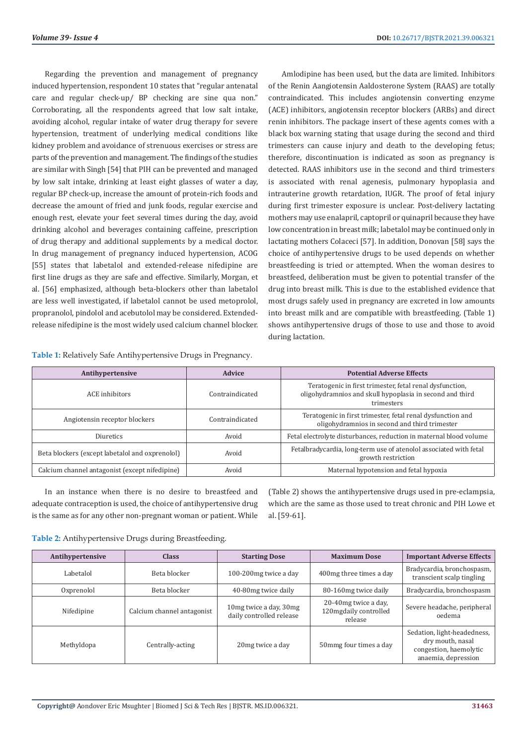Regarding the prevention and management of pregnancy induced hypertension, respondent 10 states that "regular antenatal care and regular check-up/ BP checking are sine qua non." Corroborating, all the respondents agreed that low salt intake, avoiding alcohol, regular intake of water drug therapy for severe hypertension, treatment of underlying medical conditions like kidney problem and avoidance of strenuous exercises or stress are parts of the prevention and management. The findings of the studies are similar with Singh [54] that PIH can be prevented and managed by low salt intake, drinking at least eight glasses of water a day, regular BP check-up, increase the amount of protein-rich foods and decrease the amount of fried and junk foods, regular exercise and enough rest, elevate your feet several times during the day, avoid drinking alcohol and beverages containing caffeine, prescription of drug therapy and additional supplements by a medical doctor. In drug management of pregnancy induced hypertension, ACOG [55] states that labetalol and extended-release nifedipine are first line drugs as they are safe and effective. Similarly, Morgan, et al. [56] emphasized, although beta-blockers other than labetalol are less well investigated, if labetalol cannot be used metoprolol, propranolol, pindolol and acebutolol may be considered. Extendedrelease nifedipine is the most widely used calcium channel blocker.

Amlodipine has been used, but the data are limited. Inhibitors of the Renin Aangiotensin Aaldosterone System (RAAS) are totally contraindicated. This includes angiotensin converting enzyme (ACE) inhibitors, angiotensin receptor blockers (ARBs) and direct renin inhibitors. The package insert of these agents comes with a black box warning stating that usage during the second and third trimesters can cause injury and death to the developing fetus; therefore, discontinuation is indicated as soon as pregnancy is detected. RAAS inhibitors use in the second and third trimesters is associated with renal agenesis, pulmonary hypoplasia and intrauterine growth retardation, IUGR. The proof of fetal injury during first trimester exposure is unclear. Post-delivery lactating mothers may use enalapril, captopril or quinapril because they have low concentration in breast milk; labetalol may be continued only in lactating mothers Colaceci [57]. In addition, Donovan [58] says the choice of antihypertensive drugs to be used depends on whether breastfeeding is tried or attempted. When the woman desires to breastfeed, deliberation must be given to potential transfer of the drug into breast milk. This is due to the established evidence that most drugs safely used in pregnancy are excreted in low amounts into breast milk and are compatible with breastfeeding. (Table 1) shows antihypertensive drugs of those to use and those to avoid during lactation.

**Table 1:** Relatively Safe Antihypertensive Drugs in Pregnancy.

| Antihypertensive                                | <b>Advice</b>   | <b>Potential Adverse Effects</b>                                                                                                   |
|-------------------------------------------------|-----------------|------------------------------------------------------------------------------------------------------------------------------------|
| ACE inhibitors                                  | Contraindicated | Teratogenic in first trimester, fetal renal dysfunction,<br>oligohydramnios and skull hypoplasia in second and third<br>trimesters |
| Angiotensin receptor blockers                   | Contraindicated | Teratogenic in first trimester, fetal renal dysfunction and<br>oligohydramnios in second and third trimester                       |
| Diuretics                                       | Avoid           | Fetal electrolyte disturbances, reduction in maternal blood volume                                                                 |
| Beta blockers (except labetalol and oxprenolol) | Avoid           | Fetalbradycardia, long-term use of atenolol associated with fetal<br>growth restriction                                            |
| Calcium channel antagonist (except nifedipine)  | Avoid           | Maternal hypotension and fetal hypoxia                                                                                             |

In an instance when there is no desire to breastfeed and adequate contraception is used, the choice of antihypertensive drug is the same as for any other non-pregnant woman or patient. While

(Table 2) shows the antihypertensive drugs used in pre-eclampsia, which are the same as those used to treat chronic and PIH Lowe et al. [59-61].

| Table 2: Antihypertensive Drugs during Breastfeeding. |  |  |
|-------------------------------------------------------|--|--|
|                                                       |  |  |

| Antihypertensive | <b>Class</b>               | <b>Starting Dose</b>                                 | <b>Maximum Dose</b>                                      | <b>Important Adverse Effects</b>                                                                 |
|------------------|----------------------------|------------------------------------------------------|----------------------------------------------------------|--------------------------------------------------------------------------------------------------|
| Labetalol        | Beta blocker               | 100-200 mg twice a day                               | 400 mg three times a day                                 | Bradycardia, bronchospasm,<br>transcient scalp tingling                                          |
| Oxprenolol       | Beta blocker               | 40-80mg twice daily                                  | 80-160mg twice daily                                     | Bradycardia, bronchospasm                                                                        |
| Nifedipine       | Calcium channel antagonist | 10 mg twice a day, 30 mg<br>daily controlled release | 20-40mg twice a day,<br>120mgdaily controlled<br>release | Severe headache, peripheral<br>oedema                                                            |
| Methyldopa       | Centrally-acting           | 20 mg twice a day                                    | 50mmg four times a day                                   | Sedation, light-headedness,<br>dry mouth, nasal<br>congestion, haemolytic<br>anaemia, depression |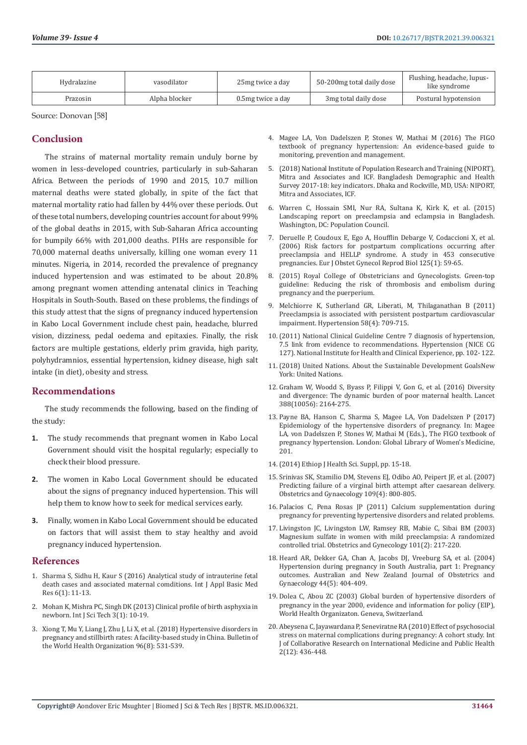| Hydralazine | vasodilator   | 25 mg twice a day | 50-200mg total daily dose | Flushing, headache, lupus-<br>like syndrome |
|-------------|---------------|-------------------|---------------------------|---------------------------------------------|
| Prazosin    | Alpha blocker | 0.5mg twice a day | 3 mg total daily dose     | Postural hypotension                        |

Source: Donovan [58]

# **Conclusion**

The strains of maternal mortality remain unduly borne by women in less-developed countries, particularly in sub-Saharan Africa. Between the periods of 1990 and 2015, 10.7 million maternal deaths were stated globally, in spite of the fact that maternal mortality ratio had fallen by 44% over these periods. Out of these total numbers, developing countries account for about 99% of the global deaths in 2015, with Sub-Saharan Africa accounting for bumpily 66% with 201,000 deaths. PIHs are responsible for 70,000 maternal deaths universally, killing one woman every 11 minutes. Nigeria, in 2014, recorded the prevalence of pregnancy induced hypertension and was estimated to be about 20.8% among pregnant women attending antenatal clinics in Teaching Hospitals in South-South. Based on these problems, the findings of this study attest that the signs of pregnancy induced hypertension in Kabo Local Government include chest pain, headache, blurred vision, dizziness, pedal oedema and epitaxies. Finally, the risk factors are multiple gestations, elderly prim gravida, high parity, polyhydramnios, essential hypertension, kidney disease, high salt intake (in diet), obesity and stress.

## **Recommendations**

The study recommends the following, based on the finding of the study:

- **1.** The study recommends that pregnant women in Kabo Local Government should visit the hospital regularly; especially to check their blood pressure.
- **2.** The women in Kabo Local Government should be educated about the signs of pregnancy induced hypertension. This will help them to know how to seek for medical services early.
- **3.** Finally, women in Kabo Local Government should be educated on factors that will assist them to stay healthy and avoid pregnancy induced hypertension.

## **References**

- 1. [Sharma S, Sidhu H, Kaur S \(2016\) Analytical study of intrauterine fetal](https://pubmed.ncbi.nlm.nih.gov/26958515/)  [death cases and associated maternal comditions. Int J Appl Basic Med](https://pubmed.ncbi.nlm.nih.gov/26958515/)  [Res 6\(1\): 11-13.](https://pubmed.ncbi.nlm.nih.gov/26958515/)
- 2. Mohan K, Mishra PC, Singh DK (2013) Clinical profile of birth asphyxia in newborn. Int J Sci Tech 3(1): 10-19.
- 3. [Xiong T, Mu Y, Liang J, Zhu J, Li X, et al. \(2018\) Hypertensive disorders in](https://www.ncbi.nlm.nih.gov/pmc/articles/PMC6083384/)  [pregnancy and stillbirth rates: A facility-based study in China. Bulletin of](https://www.ncbi.nlm.nih.gov/pmc/articles/PMC6083384/)  [the World Health Organization 96\(8\): 531-539.](https://www.ncbi.nlm.nih.gov/pmc/articles/PMC6083384/)
- 4. [Magee LA, Von Dadelszen P, Stones W, Mathai M \(2016\) The FIGO](https://www.glowm.com/resource-type/resource/textbook/title/the-figo-textbook-of-pregnancy-hypertension/resource-doc/2768) [textbook of pregnancy hypertension: An evidence-based guide to](https://www.glowm.com/resource-type/resource/textbook/title/the-figo-textbook-of-pregnancy-hypertension/resource-doc/2768) [monitoring, prevention and management.](https://www.glowm.com/resource-type/resource/textbook/title/the-figo-textbook-of-pregnancy-hypertension/resource-doc/2768)
- 5. (2018) National Institute of Population Research and Training (NIPORT), Mitra and Associates and ICF. Bangladesh Demographic and Health Survey 2017-18: key indicators. Dhaka and Rockville, MD, USA: NIPORT, Mitra and Associates, ICF.
- 6. Warren C, Hossain SMI, Nur RA, Sultana K, Kirk K, et al. (2015) Landscaping report on preeclampsia and eclampsia in Bangladesh. Washington, DC: Population Council.
- 7. [Deruelle P, Coudoux E, Ego A, Houfflin Debarge V, Codaccioni X, et al.](https://pubmed.ncbi.nlm.nih.gov/16118033/) [\(2006\) Risk factors for postpartum complications occurring after](https://pubmed.ncbi.nlm.nih.gov/16118033/) [preeclampsia and HELLP syndrome. A study in 453 consecutive](https://pubmed.ncbi.nlm.nih.gov/16118033/) [pregnancies. Eur J Obstet Gynecol Reprod Biol 125\(1\): 59-65.](https://pubmed.ncbi.nlm.nih.gov/16118033/)
- 8. (2015) Royal College of Obstetricians and Gynecologists. Green-top guideline: Reducing the risk of thrombosis and embolism during pregnancy and the puerperium.
- 9. [Melchiorre K, Sutherland GR, Liberati, M, Thilaganathan B \(2011\)](https://pubmed.ncbi.nlm.nih.gov/21844489/) [Preeclampsia is associated with persistent postpartum cardiovascular](https://pubmed.ncbi.nlm.nih.gov/21844489/) [impairment. Hypertension 58\(4\): 709-715.](https://pubmed.ncbi.nlm.nih.gov/21844489/)
- 10.(2011) National Clinical Guideline Centre 7 diagnosis of hypertension, 7.5 link from evidence to recommendations. Hypertension (NICE CG 127). National Institute for Health and Clinical Experience, pp. 102- 122.
- 11.[\(2018\) United Nations. About the Sustainable Development GoalsNew](https://www.un.org/sustainabledevelopment/sustainable-development-goals/) [York: United Nations.](https://www.un.org/sustainabledevelopment/sustainable-development-goals/)
- 12. [Graham W, Woodd S, Byass P, Filippi V, Gon G, et al. \(2016\) Diversity](https://www.thelancet.com/journals/lancet/article/PIIS0140-6736(16)31533-1/fulltext) [and divergence: The dynamic burden of poor maternal health. Lancet](https://www.thelancet.com/journals/lancet/article/PIIS0140-6736(16)31533-1/fulltext) [388\(10056\): 2164-275.](https://www.thelancet.com/journals/lancet/article/PIIS0140-6736(16)31533-1/fulltext)
- 13. Payne BA, Hanson C, Sharma S, Magee LA, Von Dadelszen P (2017) Epidemiology of the hypertensive disorders of pregnancy. In: Magee LA, von Dadelszen P, Stones W, Mathai M (Eds.)., The FIGO textbook of pregnancy hypertension. London: Global Library of Women's Medicine, 201.
- 14.(2014) Ethiop J Health Sci. Suppl, pp. 15-18.
- 15. [Srinivas SK, Stamilio DM, Stevens EJ, Odibo AO, Peipert JF, et al. \(2007\)](https://pubmed.ncbi.nlm.nih.gov/17400839/) [Predicting failure of a virginal birth attempt after caesarean delivery.](https://pubmed.ncbi.nlm.nih.gov/17400839/) [Obstetrics and Gynaecology 109\(4\): 800-805.](https://pubmed.ncbi.nlm.nih.gov/17400839/)
- 16. Palacios C, Pena Rosas JP (2011) Calcium supplementation during pregnancy for preventing hypertensive disorders and related problems.
- 17. [Livingston JC, Livingston LW, Ramsey RB, Mabie C, Sibai BM \(2003\)](https://pubmed.ncbi.nlm.nih.gov/12576241/) [Magnesium sulfate in women with mild preeclampsia: A randomized](https://pubmed.ncbi.nlm.nih.gov/12576241/) [controlled trial. Obstetrics and Gynecology 101\(2\): 217-220.](https://pubmed.ncbi.nlm.nih.gov/12576241/)
- 18. [Heard AR, Dekker GA, Chan A, Jacobs DJ, Vreeburg SA, et al. \(2004\)](https://pubmed.ncbi.nlm.nih.gov/15387860/) [Hypertension during pregnancy in South Australia, part 1: Pregnancy](https://pubmed.ncbi.nlm.nih.gov/15387860/) [outcomes. Australian and New Zealand Journal of Obstetrics and](https://pubmed.ncbi.nlm.nih.gov/15387860/) [Gynaecology 44\(5\): 404-409.](https://pubmed.ncbi.nlm.nih.gov/15387860/)
- 19. [Dolea C, Abou ZC \(2003\) Global burden of hypertensive disorders of](https://www.who.int/healthinfo/statistics/bod_hypertensivedisordersofpregnancy.pdf) [pregnancy in the year 2000, evidence and information for policy \(EIP\),](https://www.who.int/healthinfo/statistics/bod_hypertensivedisordersofpregnancy.pdf) [World Health Organizaton. Geneva, Switzerland.](https://www.who.int/healthinfo/statistics/bod_hypertensivedisordersofpregnancy.pdf)
- 20. Abeysena C, Jayawardana P, Seneviratne RA (2010) Effect of psychosocial stress on maternal complications during pregnancy: A cohort study. Int J of Collaborative Research on International Medicine and Public Health 2(12): 436-448.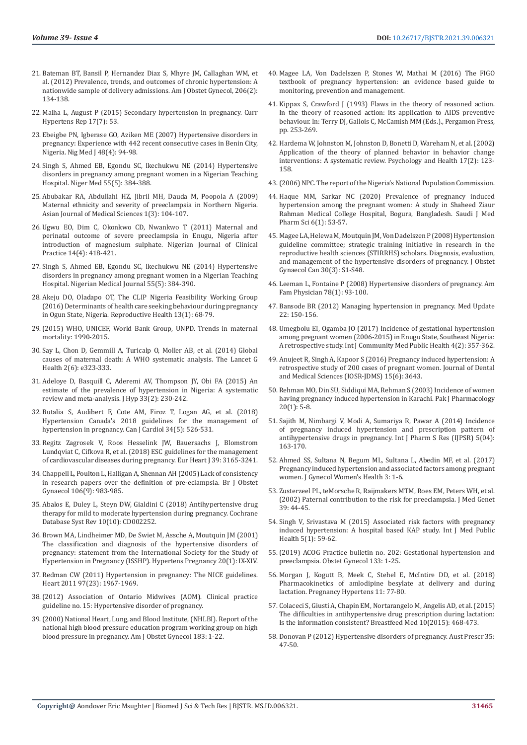- 21. [Bateman BT, Bansil P, Hernandez Diaz S, Mhyre JM, Callaghan WM, et](https://pubmed.ncbi.nlm.nih.gov/22177190/)  [al. \(2012\) Prevalence, trends, and outcomes of chronic hypertension: A](https://pubmed.ncbi.nlm.nih.gov/22177190/)  [nationwide sample of delivery admissions. Am J Obstet Gynecol, 206\(2\):](https://pubmed.ncbi.nlm.nih.gov/22177190/)  [134-138.](https://pubmed.ncbi.nlm.nih.gov/22177190/)
- 22. [Malha L, August P \(2015\) Secondary hypertension in pregnancy. Curr](https://pubmed.ncbi.nlm.nih.gov/26068655/)  [Hypertens Rep 17\(7\): 53.](https://pubmed.ncbi.nlm.nih.gov/26068655/)
- 23. [Ebeigbe PN, Igberase GO, Aziken ME \(2007\) Hypertensive disorders in](https://www.ajol.info/index.php/nmj/article/view/50895)  [pregnancy: Experience with 442 recent consecutive cases in Benin City,](https://www.ajol.info/index.php/nmj/article/view/50895)  [Nigeria. Nig Med J 48\(4\): 94-98.](https://www.ajol.info/index.php/nmj/article/view/50895)
- 24. [Singh S, Ahmed EB, Egondu SC, Ikechukwu NE \(2014\) Hypertensive](https://www.ncbi.nlm.nih.gov/pmc/articles/PMC4178334/)  [disorders in pregnancy among pregnant women in a Nigerian Teaching](https://www.ncbi.nlm.nih.gov/pmc/articles/PMC4178334/)  [Hospital. Niger Med 55\(5\): 384-388.](https://www.ncbi.nlm.nih.gov/pmc/articles/PMC4178334/)
- 25. [Abubakar RA, Abdullahi HZ, Jibril MH, Dauda M, Poopola A \(2009\)](https://www.semanticscholar.org/paper/Maternal-Ethnicity-and-Severity-of-Pre-Eclampsia-in-Abubakar/b0ec87a29d3a744ea29342a4183cb0e61a27d964)  [Maternal ethnicity and severity of preeclampsia in Northern Nigeria.](https://www.semanticscholar.org/paper/Maternal-Ethnicity-and-Severity-of-Pre-Eclampsia-in-Abubakar/b0ec87a29d3a744ea29342a4183cb0e61a27d964)  [Asian Journal of Medical Sciences 1\(3\): 104-107.](https://www.semanticscholar.org/paper/Maternal-Ethnicity-and-Severity-of-Pre-Eclampsia-in-Abubakar/b0ec87a29d3a744ea29342a4183cb0e61a27d964)
- 26. [Ugwu EO, Dim C, Okonkwo CD, Nwankwo T \(2011\) Maternal and](https://pubmed.ncbi.nlm.nih.gov/22248941/)  [perinatal outcome of severe preeclampsia in Enugu, Nigeria after](https://pubmed.ncbi.nlm.nih.gov/22248941/)  [introduction of magnesium sulphate. Nigerian Journal of Clinical](https://pubmed.ncbi.nlm.nih.gov/22248941/)  [Practice 14\(4\): 418-421.](https://pubmed.ncbi.nlm.nih.gov/22248941/)
- 27. [Singh S, Ahmed EB, Egondu SC, Ikechukwu NE \(2014\) Hypertensive](https://www.ncbi.nlm.nih.gov/pmc/articles/PMC4178334/)  [disorders in pregnancy among pregnant women in a Nigerian Teaching](https://www.ncbi.nlm.nih.gov/pmc/articles/PMC4178334/)  [Hospital. Nigerian Medical Journal 55\(5\): 384-390.](https://www.ncbi.nlm.nih.gov/pmc/articles/PMC4178334/)
- 28. [Akeju DO, Oladapo OT, The CLIP Nigeria Feasibility Working Group](https://reproductive-health-journal.biomedcentral.com/articles/10.1186/s12978-016-0139-7)  [\(2016\) Determinants of health care seeking behaviour during pregnancy](https://reproductive-health-journal.biomedcentral.com/articles/10.1186/s12978-016-0139-7)  [in Ogun State, Nigeria. Reproductive Health 13\(1\): 68-79.](https://reproductive-health-journal.biomedcentral.com/articles/10.1186/s12978-016-0139-7)
- 29.(2015) WHO, UNICEF, World Bank Group, UNPD. Trends in maternal mortality: 1990-2015.
- 30. [Say L, Chon D, Gemmill A, Turicalp O, Moller AB, et al. \(2014\) Global](https://pubmed.ncbi.nlm.nih.gov/25103301/)  [causes of maternal death: A WHO systematic analysis. The Lancet G](https://pubmed.ncbi.nlm.nih.gov/25103301/)  [Health 2\(6\): e323-333.](https://pubmed.ncbi.nlm.nih.gov/25103301/)
- 31. [Adeloye D, Basquill C, Aderemi AV, Thompson JY, Obi FA \(2015\) An](https://pubmed.ncbi.nlm.nih.gov/25380154/)  [estimate of the prevalence of hypertension in Nigeria: A systematic](https://pubmed.ncbi.nlm.nih.gov/25380154/)  [review and meta-analysis. J Hyp 33\(2\): 230-242.](https://pubmed.ncbi.nlm.nih.gov/25380154/)
- 32. [Butalia S, Audibert F, Cote AM, Firoz T, Logan AG, et al. \(2018\)](https://pubmed.ncbi.nlm.nih.gov/29731014/)  [Hypertension Canada's 2018 guidelines for the management of](https://pubmed.ncbi.nlm.nih.gov/29731014/)  [hypertension in pregnancy. Can J Cardiol 34\(5\): 526-531.](https://pubmed.ncbi.nlm.nih.gov/29731014/)
- 33. [Regitz Zagrosek V, Roos Hesselink JW, Bauersachs J, Blomstrom](https://academic.oup.com/eurheartj/article/39/34/3165/5078465)  [Lundqviat C, Cifkova R, et al. \(2018\) ESC guidelines for the management](https://academic.oup.com/eurheartj/article/39/34/3165/5078465)  [of cardiovascular diseases during pregnancy. Eur Heart J 39: 3165-3241.](https://academic.oup.com/eurheartj/article/39/34/3165/5078465)
- 34. [Chappell L, Poulton L, Halligan A, Shennan AH \(2005\) Lack of consistency](https://pubmed.ncbi.nlm.nih.gov/10492114/)  [in research papers over the definition of pre-eclampsia. Br J Obstet](https://pubmed.ncbi.nlm.nih.gov/10492114/)  [Gynaecol 106\(9\): 983-985.](https://pubmed.ncbi.nlm.nih.gov/10492114/)
- 35. [Abalos E, Duley L, Steyn DW, Gialdini C \(2018\) Antihypertensive drug](https://pubmed.ncbi.nlm.nih.gov/30277556/)  [therapy for mild to moderate hypertension during pregnancy. Cochrane](https://pubmed.ncbi.nlm.nih.gov/30277556/)  [Database Syst Rev 10\(10\): CD002252.](https://pubmed.ncbi.nlm.nih.gov/30277556/)
- 36. [Brown MA, Lindheimer MD, De Swiet M, Assche A, Moutquin JM \(2001\)](https://pubmed.ncbi.nlm.nih.gov/12044323/)  [The classification and diagnosis of the hypertensive disorders of](https://pubmed.ncbi.nlm.nih.gov/12044323/)  [pregnancy: statement from the International Society for the Study of](https://pubmed.ncbi.nlm.nih.gov/12044323/)  [Hypertension in Pregnancy \(ISSHP\). Hypertens Pregnancy 20\(1\): IX-XIV.](https://pubmed.ncbi.nlm.nih.gov/12044323/)
- 37. [Redman CW \(2011\) Hypertension in pregnancy: The NICE guidelines.](https://pubmed.ncbi.nlm.nih.gov/21990386/)  [Heart 2011 97\(23\): 1967-1969.](https://pubmed.ncbi.nlm.nih.gov/21990386/)
- 38.(2012) Association of Ontario Midwives (AOM). Clinical practice guideline no. 15: Hypertensive disorder of pregnancy.
- 39.(2000) National Heart, Lung, and Blood Institute, (NHLBI). Report of the national high blood pressure education program working group on high blood pressure in pregnancy. Am J Obstet Gynecol 183: 1-22.
- 40. [Magee LA, Von Dadelszen P, Stones W, Mathai M \(2016\) The FIGO](https://www.glowm.com/resource-type/resource/textbook/title/the-figo-textbook-of-pregnancy-hypertension/resource-doc/2768) [textbook of pregnancy hypertension: an evidence based guide to](https://www.glowm.com/resource-type/resource/textbook/title/the-figo-textbook-of-pregnancy-hypertension/resource-doc/2768) [monitoring, prevention and management.](https://www.glowm.com/resource-type/resource/textbook/title/the-figo-textbook-of-pregnancy-hypertension/resource-doc/2768)
- 41. Kippax S, Crawford J (1993) Flaws in the theory of reasoned action. In the theory of reasoned action: its application to AIDS preventive behaviour. In: Terry DJ, Gallois C, McCamish MM (Eds.)., Pergamon Press, pp. 253-269.
- 42. [Hardema W, Johnston M, Johnston D, Bonetti D, Wareham N, et al. \(2002\)](https://www.researchgate.net/publication/235356418_Application_of_the_Theory_of_Planned_Behaviour_in_Behaviour_Change_Interventions_A_Systematic_Review) [Application of the theory of planned behavior in behavior change](https://www.researchgate.net/publication/235356418_Application_of_the_Theory_of_Planned_Behaviour_in_Behaviour_Change_Interventions_A_Systematic_Review) [interventions: A systematic review. Psychology and Health 17\(2\): 123-](https://www.researchgate.net/publication/235356418_Application_of_the_Theory_of_Planned_Behaviour_in_Behaviour_Change_Interventions_A_Systematic_Review) [158.](https://www.researchgate.net/publication/235356418_Application_of_the_Theory_of_Planned_Behaviour_in_Behaviour_Change_Interventions_A_Systematic_Review)
- 43.[\(2006\) NPC. The report of the Nigeria's National Population Commission.](https://nationalpopulation.gov.ng/)
- 44. [Haque MM, Sarkar NC \(2020\) Prevalence of pregnancy induced](https://www.researchgate.net/publication/340759831_Prevalence_of_Pregnancy_Induced_Hypertension_among_the_Pregnant_Women_A_Study_in_Shaheed_Ziaur_Rahman_Medical_College_Hospital_Bogura_Bangladesh) [hypertension among the pregnant women: A study in Shaheed Ziaur](https://www.researchgate.net/publication/340759831_Prevalence_of_Pregnancy_Induced_Hypertension_among_the_Pregnant_Women_A_Study_in_Shaheed_Ziaur_Rahman_Medical_College_Hospital_Bogura_Bangladesh) [Rahman Medical College Hospital, Bogura, Bangladesh. Saudi J Med](https://www.researchgate.net/publication/340759831_Prevalence_of_Pregnancy_Induced_Hypertension_among_the_Pregnant_Women_A_Study_in_Shaheed_Ziaur_Rahman_Medical_College_Hospital_Bogura_Bangladesh) [Pharm Sci 6\(1\): 53-57.](https://www.researchgate.net/publication/340759831_Prevalence_of_Pregnancy_Induced_Hypertension_among_the_Pregnant_Women_A_Study_in_Shaheed_Ziaur_Rahman_Medical_College_Hospital_Bogura_Bangladesh)
- 45. Magee LA, Helewa M, Moutquin JM, Von Dadelszen P (2008) Hypertension guideline committee; strategic training initiative in research in the reproductive health sciences (STIRRHS) scholars. Diagnosis, evaluation, and management of the hypertensive disorders of pregnancy. J Obstet Gynaecol Can 30(3): S1-S48.
- 46. Leeman L, Fontaine P (2008) Hypertensive disorders of pregnancy. Am Fam Physician 78(1): 93-100.
- 47. Bansode BR (2012) Managing hypertension in pregnancy. Med Update 22: 150-156.
- 48. [Umegbolu EI, Ogamba JO \(2017\) Incidence of gestational hypertension](https://www.ijcmph.com/index.php/ijcmph/article/view/575) [among pregnant women \(2006-2015\) in Enugu State, Southeast Nigeria:](https://www.ijcmph.com/index.php/ijcmph/article/view/575) [A retrospective study. Int J Community Med Public Health 4\(2\): 357-362.](https://www.ijcmph.com/index.php/ijcmph/article/view/575)
- 49. Anujeet R, Singh A, Kapoor S (2016) Pregnancy induced hypertension: A retrospective study of 200 cases of pregnant women. Journal of Dental and Medical Sciences (IOSR-JDMS) 15(6): 3643.
- 50. [Rehman MO, Din SU, Siddiqui MA, Rehman S \(2003\) Incidence of women](https://www.researchgate.net/publication/329035246_Incidence_of_women_having_pregnancy_induced_hypertension_in_Karachi) [having pregnancy induced hypertension in Karachi. Pak J Pharmacology](https://www.researchgate.net/publication/329035246_Incidence_of_women_having_pregnancy_induced_hypertension_in_Karachi) [20\(1\): 5-8.](https://www.researchgate.net/publication/329035246_Incidence_of_women_having_pregnancy_induced_hypertension_in_Karachi)
- 51. [Sajith M, Nimbargi V, Modi A, Sumariya R, Pawar A \(2014\) Incidence](https://www.ijpsr.info/docs/IJPSR14-05-04-002.pdf) [of pregnancy induced hypertension and prescription pattern of](https://www.ijpsr.info/docs/IJPSR14-05-04-002.pdf) [antihypertensive drugs in pregnancy. Int J Pharm S Res \(IJPSR\) 5\(04\):](https://www.ijpsr.info/docs/IJPSR14-05-04-002.pdf) [163-170.](https://www.ijpsr.info/docs/IJPSR14-05-04-002.pdf)
- 52. [Ahmed SS, Sultana N, Begum ML, Sultana L, Abedin MF, et al. \(2017\)](https://juniperpublishers.com/jgwh/pdf/JGWH.MS.ID.555792.pdf) [Pregnancy induced hypertension and associated factors among pregnant](https://juniperpublishers.com/jgwh/pdf/JGWH.MS.ID.555792.pdf) [women. J Gynecol Women's Health 3: 1-6.](https://juniperpublishers.com/jgwh/pdf/JGWH.MS.ID.555792.pdf)
- 53. [Zusterzeel PL, teMorsche R, Raijmakers MTM, Roes EM, Peters WH, et al.](https://jmg.bmj.com/content/39/1/44) [\(2002\) Paternal contribution to the risk for preeclampsia. J Med Genet](https://jmg.bmj.com/content/39/1/44) [39: 44-45.](https://jmg.bmj.com/content/39/1/44)
- 54. [Singh V, Srivastava M \(2015\) Associated risk factors with pregnancy](https://ijmedph.org/article/329) [induced hypertension: A hospital based KAP study. Int J Med Public](https://ijmedph.org/article/329) [Health 5\(1\): 59-62.](https://ijmedph.org/article/329)
- 55.[\(2019\) ACOG Practice bulletin no. 202: Gestational hypertension and](https://pubmed.ncbi.nlm.nih.gov/30575675/) [preeclampsia. Obstet Gynecol 133: 1-25.](https://pubmed.ncbi.nlm.nih.gov/30575675/)
- 56. Morgan J, Kogutt B, Meek C, Stehel E, McIntire DD, et al. (2018) Pharmacokinetics of amlodipine besylate at delivery and during lactation. Pregnancy Hypertens 11: 77-80.
- 57. [Colaceci S, Giusti A, Chapin EM, Nortarangelo M, Angelis AD, et al. \(2015\)](https://www.ncbi.nlm.nih.gov/pmc/articles/PMC4683560/) [The difficulties in antihypertensive drug prescription during lactation:](https://www.ncbi.nlm.nih.gov/pmc/articles/PMC4683560/) [Is the information consistent? Breastfeed Med 10\(2015\): 468-473.](https://www.ncbi.nlm.nih.gov/pmc/articles/PMC4683560/)
- 58. Donovan P (2012) Hypertensive disorders of pregnancy. Aust Prescr 35: 47-50.